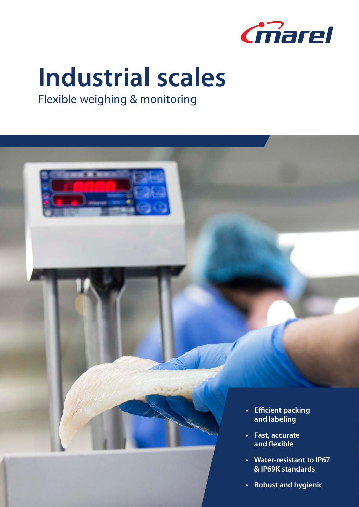

# **Industrial scales**

Flexible weighing & monitoring



- **• Fast, accurate and flexible**
- **• Water-resistant to IP67 & IP69K standards**
- **• Robust and hygienic**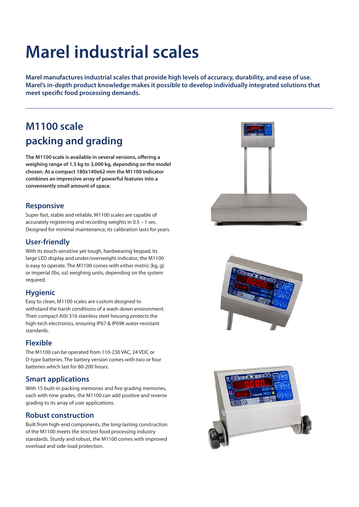# **Marel industrial scales**

**Marel manufactures industrial scales that provide high levels of accuracy, durability, and ease of use. Marel's in-depth product knowledge makes it possible to develop individually integrated solutions that meet specific food processing demands.**

### **M1100 scale packing and grading**

**The M1100 scale is available in several versions, offering a weighing range of 1.5 kg to 3,000 kg, depending on the model chosen. At a compact 180x140x62 mm the M1100 indicator combines an impressive array of powerful features into a conveniently small amount of space.**

#### **Responsive**

Super fast, stable and reliable, M1100 scales are capable of accurately registering and recording weights in 0.5 – 1 sec. Designed for minimal maintenance, its calibration lasts for years.

#### **User-friendly**

With its touch-sensitive yet tough, hardwearing keypad, its large LED display and under/overweight indicator, the M1100 is easy to operate. The M1100 comes with either metric (kg, g) or imperial (lbs, oz) weighing units, depending on the system required.

#### **Hygienic**

Easy to clean, M1100 scales are custom designed to withstand the harsh conditions of a wash-down environment. Their compact AISI 316 stainless steel housing protects the high-tech electronics, ensuring IP67 & IP69K water-resistant standards.

#### **Flexible**

The M1100 can be operated from 110-230 VAC, 24 VDC or D-type batteries. The battery version comes with two or four batteries which last for 80-200 hours.

#### **Smart applications**

With 15 built-in packing memories and five grading memories, each with nine grades, the M1100 can add positive and reverse grading to its array of user applications.

#### **Robust construction**

Built from high-end components, the long-lasting construction of the M1100 meets the strictest food processing industry standards. Sturdy and robust, the M1100 comes with improved overload and side-load protection.





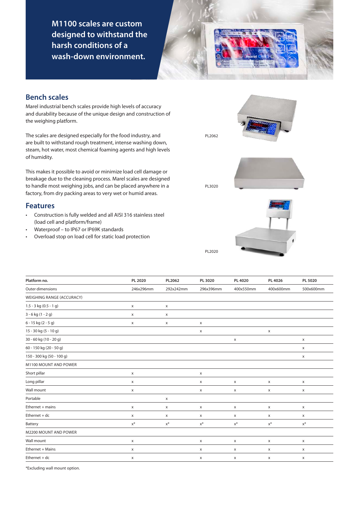**M1100 scales are custom designed to withstand the harsh conditions of a wash-down environment.** 

#### **Bench scales**

Marel industrial bench scales provide high levels of accuracy and durability because of the unique design and construction of the weighing platform.

The scales are designed especially for the food industry, and are built to withstand rough treatment, intense washing down, steam, hot water, most chemical foaming agents and high levels of humidity.

This makes it possible to avoid or minimize load cell damage or breakage due to the cleaning process. Marel scales are designed to handle most weighing jobs, and can be placed anywhere in a factory, from dry packing areas to very wet or humid areas.

#### **Features**

- • Construction is fully welded and all AISI 316 stainless steel (load cell and platform/frame)
- Waterproof to IP67 or IP69K standards
- Overload stop on load cell for static load protection







| Platform no.              | PL 2020                   | PL2062                    | PL 3020                   | PL 4020   | PL 4026                   | PL 5020      |
|---------------------------|---------------------------|---------------------------|---------------------------|-----------|---------------------------|--------------|
| Outer dimensions          | 246x296mm                 | 292x242mm                 | 296x396mm                 | 400x550mm | 400x600mm                 | 500x600mm    |
| WEIGHING RANGE (ACCURACY) |                           |                           |                           |           |                           |              |
| $1.5 - 3$ kg (0.5 - 1 g)  | X                         | $\boldsymbol{\mathsf{x}}$ |                           |           |                           |              |
| $3 - 6$ kg $(1 - 2)$      | $\mathsf X$               | $\boldsymbol{\mathsf{x}}$ |                           |           |                           |              |
| 6 - 15 kg (2 - 5 g)       | X                         | $\boldsymbol{\mathsf{X}}$ | X                         |           |                           |              |
| 15 - 30 kg (5 - 10 g)     |                           |                           | X                         |           | X                         |              |
| 30 - 60 kg (10 - 20 g)    |                           |                           |                           | X         |                           | X            |
| 60 - 150 kg (20 - 50 g)   |                           |                           |                           |           |                           | X            |
| 150 - 300 kg (50 - 100 g) |                           |                           |                           |           |                           | $\mathsf{x}$ |
| M1100 MOUNT AND POWER     |                           |                           |                           |           |                           |              |
| Short pillar              | $\mathsf X$               |                           | X                         |           |                           |              |
| Long pillar               | $\boldsymbol{\mathsf{x}}$ |                           | x                         | x         | X                         | X            |
| Wall mount                | $\pmb{\times}$            |                           | $\boldsymbol{\mathsf{x}}$ | X         | $\boldsymbol{\mathsf{x}}$ | $\mathsf{x}$ |
| Portable                  |                           | $\mathsf X$               |                           |           |                           |              |
| Ethernet + mains          | $\mathsf X$               | X                         | X                         | X         | X                         | X            |
| $E$ thernet + dc          | X                         | X                         | X                         | X         | $\boldsymbol{\mathsf{x}}$ | X            |
| Battery                   | $\mathsf{X}^*$            | $x^*$                     | $\mathsf{X}^*$            | $x^*$     | $x^*$                     | $x^*$        |
| M2200 MOUNT AND POWER     |                           |                           |                           |           |                           |              |
| Wall mount                | $\mathsf X$               |                           | $\boldsymbol{\mathsf{x}}$ | X         | X                         | $\mathsf X$  |
| Ethernet + Mains          | $\mathsf X$               |                           | X                         | X         | $\boldsymbol{\mathsf{x}}$ | $\mathsf X$  |
| Ethernet + dc             | X                         |                           | X                         | X         | X                         | x            |

PL2020

PL2062

PL3020

\*Excluding wall mount option.

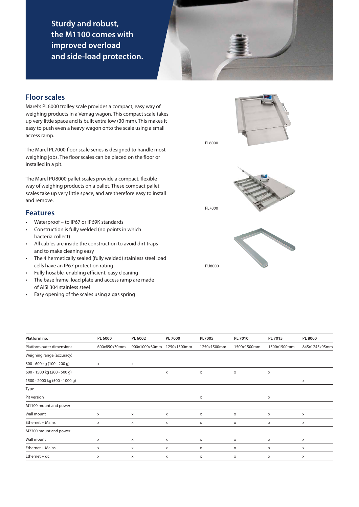**Sturdy and robust, the M1100 comes with improved overload and side-load protection.**

#### **Floor scales**

Marel's PL6000 trolley scale provides a compact, easy way of weighing products in a Vemag wagon. This compact scale takes up very little space and is built extra low (30 mm). This makes it easy to push even a heavy wagon onto the scale using a small access ramp.

The Marel PL7000 floor scale series is designed to handle most weighing jobs. The floor scales can be placed on the floor or installed in a pit.

The Marel PU8000 pallet scales provide a compact, flexible way of weighing products on a pallet. These compact pallet scales take up very little space, and are therefore easy to install and remove.

#### **Features**

- • Waterproof to IP67 or IP69K standards
- • Construction is fully welded (no points in which bacteria collect)
- • All cables are inside the construction to avoid dirt traps and to make cleaning easy
- • The 4 hermetically sealed (fully welded) stainless steel load cells have an IP67 protection rating
- • Fully hosable, enabling efficient, easy cleaning
- • The base frame, load plate and access ramp are made of AISI 304 stainless steel
- • Easy opening of the scales using a gas spring





PU8000

| Platform no.                  | PL 6000      | PL 6002       | <b>PL 7000</b> | PL7005      | PL 7010      | PL 7015      | <b>PL 8000</b> |
|-------------------------------|--------------|---------------|----------------|-------------|--------------|--------------|----------------|
| Platform outer dimensions     | 600x850x30mm | 900x1000x30mm | 1250x1500mm    | 1250x1500mm | 1500x1500mm  | 1500x1500mm  | 845x1245x95mm  |
| Weighing range (accuracy)     |              |               |                |             |              |              |                |
| 300 - 600 kg (100 - 200 g)    | X            | X             |                |             |              |              |                |
| 600 - 1500 kg (200 - 500 g)   |              |               | X              | X           | x            | X            |                |
| 1500 - 2000 kg (500 - 1000 g) |              |               |                |             |              |              | X              |
| Type                          |              |               |                |             |              |              |                |
| Pit version                   |              |               |                | X           |              | X            |                |
| M1100 mount and power         |              |               |                |             |              |              |                |
| Wall mount                    | X            | X             | X              | X           | X            | X            | x              |
| Ethernet + Mains              | x            | X             | x              | X           | x            | X            | X              |
| M2200 mount and power         |              |               |                |             |              |              |                |
| Wall mount                    | X            | X             | X              | X           | X            | X            | X              |
| Ethernet + Mains              | x            | x             | x              | X           | x            | X            | x              |
| $E$ thernet + dc              | X            | X             | x              | X           | $\mathsf{x}$ | $\mathsf{x}$ | X              |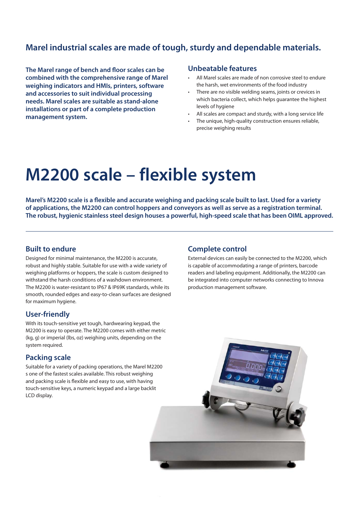### **Marel industrial scales are made of tough, sturdy and dependable materials.**

**The Marel range of bench and floor scales can be combined with the comprehensive range of Marel weighing indicators and HMIs, printers, software and accessories to suit individual processing needs. Marel scales are suitable as stand-alone installations or part of a complete production management system.**

#### **Unbeatable features**

- All Marel scales are made of non corrosive steel to endure the harsh, wet environments of the food industry
- There are no visible welding seams, joints or crevices in which bacteria collect, which helps guarantee the highest levels of hygiene
- All scales are compact and sturdy, with a long service life
- The unique, high-quality construction ensures reliable, precise weighing results

## **M2200 scale – flexible system**

**Marel's M2200 scale is a flexible and accurate weighing and packing scale built to last. Used for a variety of applications, the M2200 can control hoppers and conveyors as well as serve as a registration terminal. The robust, hygienic stainless steel design houses a powerful, high-speed scale that has been OIML approved.**

#### **Built to endure**

Designed for minimal maintenance, the M2200 is accurate, robust and highly stable. Suitable for use with a wide variety of weighing platforms or hoppers, the scale is custom designed to withstand the harsh conditions of a washdown environment. The M2200 is water-resistant to IP67 & IP69K standards, while its smooth, rounded edges and easy-to-clean surfaces are designed for maximum hygiene.

#### **User-friendly**

With its touch-sensitive yet tough, hardwearing keypad, the M2200 is easy to operate. The M2200 comes with either metric (kg, g) or imperial (lbs, oz) weighing units, depending on the system required.

#### **Packing scale**

Suitable for a variety of packing operations, the Marel M2200 s one of the fastest scales available. This robust weighing and packing scale is flexible and easy to use, with having touch-sensitive keys, a numeric keypad and a large backlit LCD display.

#### **Complete control**

External devices can easily be connected to the M2200, which is capable of accommodating a range of printers, barcode readers and labeling equipment. Additionally, the M2200 can be integrated into computer networks connecting to Innova production management software.